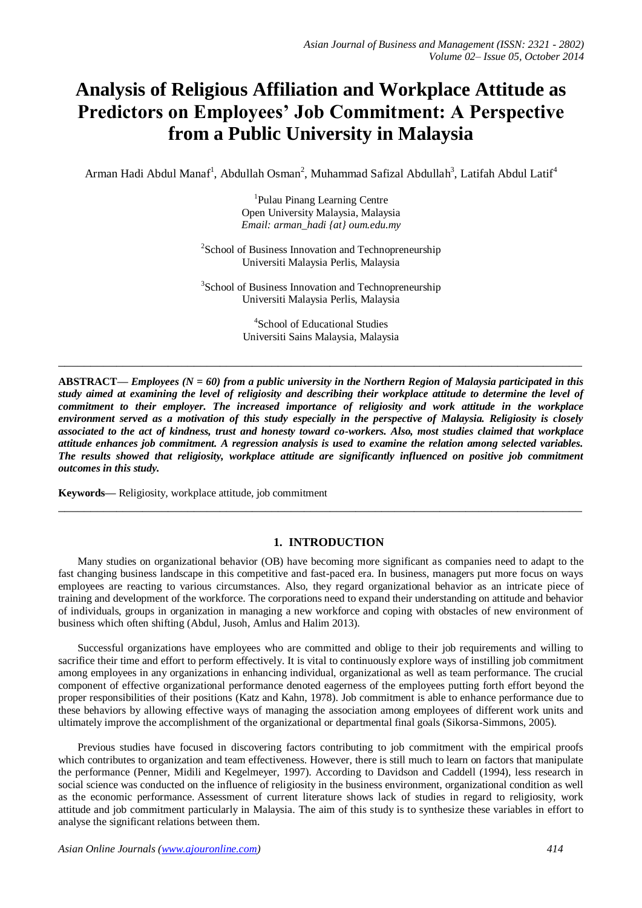# **Analysis of Religious Affiliation and Workplace Attitude as Predictors on Employees' Job Commitment: A Perspective from a Public University in Malaysia**

Arman Hadi Abdul Manaf<sup>1</sup>, Abdullah Osman<sup>2</sup>, Muhammad Safizal Abdullah<sup>3</sup>, Latifah Abdul Latif<sup>4</sup>

1 Pulau Pinang Learning Centre Open University Malaysia, Malaysia *Email: arman\_hadi {at} oum.edu.my*

<sup>2</sup>School of Business Innovation and Technopreneurship Universiti Malaysia Perlis, Malaysia

<sup>3</sup>School of Business Innovation and Technopreneurship Universiti Malaysia Perlis, Malaysia

> 4 School of Educational Studies Universiti Sains Malaysia, Malaysia

**\_\_\_\_\_\_\_\_\_\_\_\_\_\_\_\_\_\_\_\_\_\_\_\_\_\_\_\_\_\_\_\_\_\_\_\_\_\_\_\_\_\_\_\_\_\_\_\_\_\_\_\_\_\_\_\_\_\_\_\_\_\_\_\_\_\_\_\_\_\_\_\_\_\_\_\_\_\_\_\_\_**

**ABSTRACT—** *Employees (N = 60) from a public university in the Northern Region of Malaysia participated in this study aimed at examining the level of religiosity and describing their workplace attitude to determine the level of commitment to their employer. The increased importance of religiosity and work attitude in the workplace*  environment served as a motivation of this study especially in the perspective of Malaysia. Religiosity is closely *associated to the act of kindness, trust and honesty toward co-workers. Also, most studies claimed that workplace attitude enhances job commitment. A regression analysis is used to examine the relation among selected variables. The results showed that religiosity, workplace attitude are significantly influenced on positive job commitment outcomes in this study.*

**Keywords—** Religiosity, workplace attitude, job commitment

### **1. INTRODUCTION**

**\_\_\_\_\_\_\_\_\_\_\_\_\_\_\_\_\_\_\_\_\_\_\_\_\_\_\_\_\_\_\_\_\_\_\_\_\_\_\_\_\_\_\_\_\_\_\_\_\_\_\_\_\_\_\_\_\_\_\_\_\_\_\_\_\_\_\_\_\_\_\_\_\_\_\_\_\_\_\_\_\_**

Many studies on organizational behavior (OB) have becoming more significant as companies need to adapt to the fast changing business landscape in this competitive and fast-paced era. In business, managers put more focus on ways employees are reacting to various circumstances. Also, they regard organizational behavior as an intricate piece of training and development of the workforce. The corporations need to expand their understanding on attitude and behavior of individuals, groups in organization in managing a new workforce and coping with obstacles of new environment of business which often shifting (Abdul, Jusoh, Amlus and Halim 2013).

Successful organizations have employees who are committed and oblige to their job requirements and willing to sacrifice their time and effort to perform effectively. It is vital to continuously explore ways of instilling job commitment among employees in any organizations in enhancing individual, organizational as well as team performance. The crucial component of effective organizational performance denoted eagerness of the employees putting forth effort beyond the proper responsibilities of their positions (Katz and Kahn, 1978). Job commitment is able to enhance performance due to these behaviors by allowing effective ways of managing the association among employees of different work units and ultimately improve the accomplishment of the organizational or departmental final goals (Sikorsa-Simmons, 2005).

Previous studies have focused in discovering factors contributing to job commitment with the empirical proofs which contributes to organization and team effectiveness. However, there is still much to learn on factors that manipulate the performance (Penner, Midili and Kegelmeyer, 1997). According to Davidson and Caddell (1994), less research in social science was conducted on the influence of religiosity in the business environment, organizational condition as well as the economic performance. Assessment of current literature shows lack of studies in regard to religiosity, work attitude and job commitment particularly in Malaysia. The aim of this study is to synthesize these variables in effort to analyse the significant relations between them.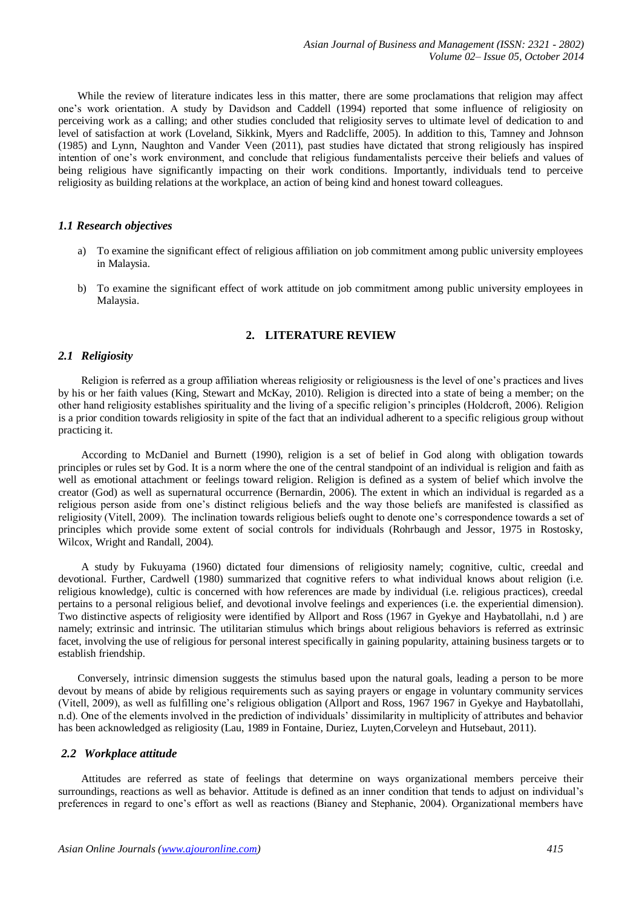While the review of literature indicates less in this matter, there are some proclamations that religion may affect one's work orientation. A study by Davidson and Caddell (1994) reported that some influence of religiosity on perceiving work as a calling; and other studies concluded that religiosity serves to ultimate level of dedication to and level of satisfaction at work (Loveland, Sikkink, Myers and Radcliffe, 2005). In addition to this, Tamney and Johnson (1985) and Lynn, Naughton and Vander Veen (2011), past studies have dictated that strong religiously has inspired intention of one's work environment, and conclude that religious fundamentalists perceive their beliefs and values of being religious have significantly impacting on their work conditions. Importantly, individuals tend to perceive religiosity as building relations at the workplace, an action of being kind and honest toward colleagues.

# *1.1 Research objectives*

- a) To examine the significant effect of religious affiliation on job commitment among public university employees in Malaysia.
- b) To examine the significant effect of work attitude on job commitment among public university employees in Malaysia.

# **2. LITERATURE REVIEW**

# *2.1 Religiosity*

Religion is referred as a group affiliation whereas religiosity or religiousness is the level of one's practices and lives by his or her faith values (King, Stewart and McKay, 2010). Religion is directed into a state of being a member; on the other hand religiosity establishes spirituality and the living of a specific religion's principles (Holdcroft, 2006). Religion is a prior condition towards religiosity in spite of the fact that an individual adherent to a specific religious group without practicing it.

According to McDaniel and Burnett (1990), religion is a set of belief in God along with obligation towards principles or rules set by God. It is a norm where the one of the central standpoint of an individual is religion and faith as well as emotional attachment or feelings toward religion. Religion is defined as a system of belief which involve the creator (God) as well as supernatural occurrence (Bernardin, 2006). The extent in which an individual is regarded as a religious person aside from one's distinct religious beliefs and the way those beliefs are manifested is classified as religiosity (Vitell, 2009). The inclination towards religious beliefs ought to denote one's correspondence towards a set of principles which provide some extent of social controls for individuals (Rohrbaugh and Jessor, 1975 in Rostosky, Wilcox, Wright and Randall, 2004).

A study by Fukuyama (1960) dictated four dimensions of religiosity namely; cognitive, cultic, creedal and devotional. Further, Cardwell (1980) summarized that cognitive refers to what individual knows about religion (i.e. religious knowledge), cultic is concerned with how references are made by individual (i.e. religious practices), creedal pertains to a personal religious belief, and devotional involve feelings and experiences (i.e. the experiential dimension). Two distinctive aspects of religiosity were identified by Allport and Ross (1967 in Gyekye and Haybatollahi, n.d ) are namely; extrinsic and intrinsic. The utilitarian stimulus which brings about religious behaviors is referred as extrinsic facet, involving the use of religious for personal interest specifically in gaining popularity, attaining business targets or to establish friendship.

Conversely, intrinsic dimension suggests the stimulus based upon the natural goals, leading a person to be more devout by means of abide by religious requirements such as saying prayers or engage in voluntary community services (Vitell, 2009), as well as fulfilling one's religious obligation (Allport and Ross, 1967 1967 in Gyekye and Haybatollahi, n.d). One of the elements involved in the prediction of individuals' dissimilarity in multiplicity of attributes and behavior has been acknowledged as religiosity (Lau, 1989 in Fontaine, Duriez, Luyten,Corveleyn and Hutsebaut, 2011).

# *2.2 Workplace attitude*

Attitudes are referred as state of feelings that determine on ways organizational members perceive their surroundings, reactions as well as behavior. Attitude is defined as an inner condition that tends to adjust on individual's preferences in regard to one's effort as well as reactions (Bianey and Stephanie, 2004). Organizational members have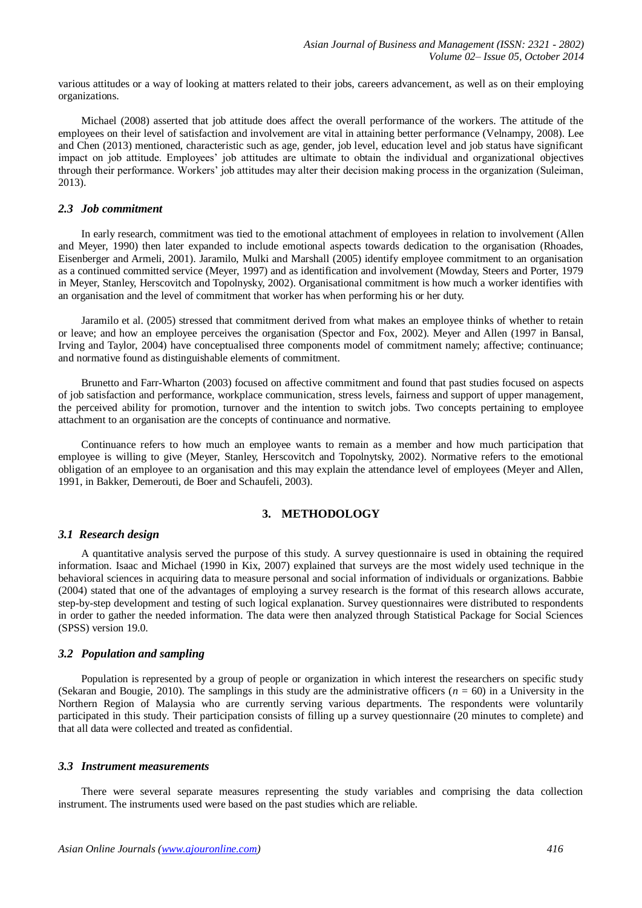various attitudes or a way of looking at matters related to their jobs, careers advancement, as well as on their employing organizations.

Michael (2008) asserted that job attitude does affect the overall performance of the workers. The attitude of the employees on their level of satisfaction and involvement are vital in attaining better performance (Velnampy, 2008). Lee and Chen (2013) mentioned, characteristic such as age, gender, job level, education level and job status have significant impact on job attitude. Employees' job attitudes are ultimate to obtain the individual and organizational objectives through their performance. Workers' job attitudes may alter their decision making process in the organization (Suleiman, 2013).

#### *2.3 Job commitment*

In early research, commitment was tied to the emotional attachment of employees in relation to involvement (Allen and Meyer, 1990) then later expanded to include emotional aspects towards dedication to the organisation (Rhoades, Eisenberger and Armeli, 2001). Jaramilo, Mulki and Marshall (2005) identify employee commitment to an organisation as a continued committed service (Meyer, 1997) and as identification and involvement (Mowday, Steers and Porter, 1979 in Meyer, Stanley, Herscovitch and Topolnysky, 2002). Organisational commitment is how much a worker identifies with an organisation and the level of commitment that worker has when performing his or her duty.

Jaramilo et al. (2005) stressed that commitment derived from what makes an employee thinks of whether to retain or leave; and how an employee perceives the organisation (Spector and Fox, 2002). Meyer and Allen (1997 in Bansal, Irving and Taylor, 2004) have conceptualised three components model of commitment namely; affective; continuance; and normative found as distinguishable elements of commitment.

Brunetto and Farr-Wharton (2003) focused on affective commitment and found that past studies focused on aspects of job satisfaction and performance, workplace communication, stress levels, fairness and support of upper management, the perceived ability for promotion, turnover and the intention to switch jobs. Two concepts pertaining to employee attachment to an organisation are the concepts of continuance and normative.

Continuance refers to how much an employee wants to remain as a member and how much participation that employee is willing to give (Meyer, Stanley, Herscovitch and Topolnytsky, 2002). Normative refers to the emotional obligation of an employee to an organisation and this may explain the attendance level of employees (Meyer and Allen, 1991, in Bakker, Demerouti, de Boer and Schaufeli, 2003).

# **3. METHODOLOGY**

### *3.1 Research design*

A quantitative analysis served the purpose of this study. A survey questionnaire is used in obtaining the required information. Isaac and Michael (1990 in Kix, 2007) explained that surveys are the most widely used technique in the behavioral sciences in acquiring data to measure personal and social information of individuals or organizations. Babbie (2004) stated that one of the advantages of employing a survey research is the format of this research allows accurate, step-by-step development and testing of such logical explanation. Survey questionnaires were distributed to respondents in order to gather the needed information. The data were then analyzed through Statistical Package for Social Sciences (SPSS) version 19.0.

#### *3.2 Population and sampling*

Population is represented by a group of people or organization in which interest the researchers on specific study (Sekaran and Bougie, 2010). The samplings in this study are the administrative officers  $(n = 60)$  in a University in the Northern Region of Malaysia who are currently serving various departments. The respondents were voluntarily participated in this study. Their participation consists of filling up a survey questionnaire (20 minutes to complete) and that all data were collected and treated as confidential.

#### *3.3 Instrument measurements*

There were several separate measures representing the study variables and comprising the data collection instrument. The instruments used were based on the past studies which are reliable.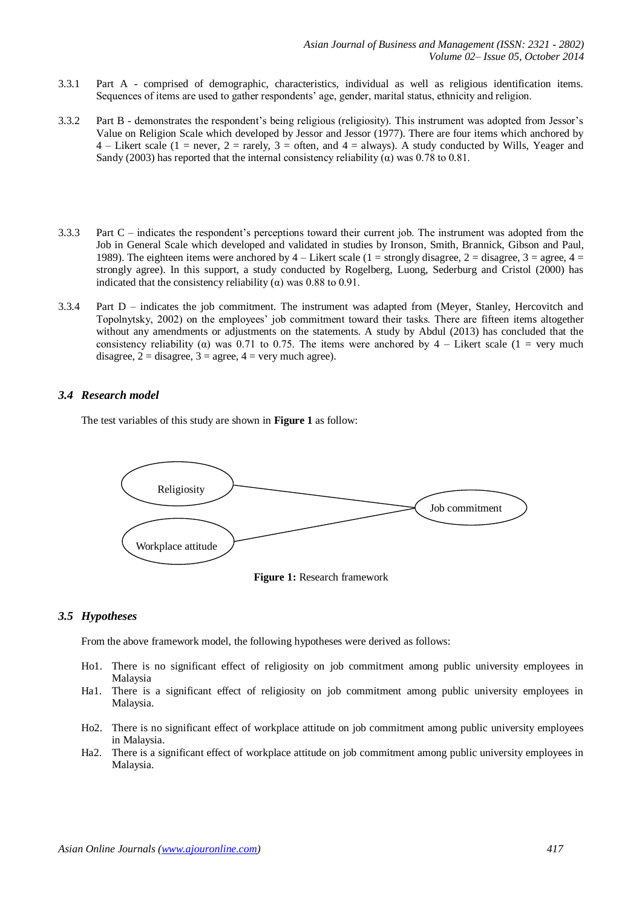- 3.3.1 Part A comprised of demographic, characteristics, individual as well as religious identification items. Sequences of items are used to gather respondents' age, gender, marital status, ethnicity and religion.
- 3.3.2 Part B demonstrates the respondent's being religious (religiosity). This instrument was adopted from Jessor's Value on Religion Scale which developed by Jessor and Jessor (1977). There are four items which anchored by 4 – Likert scale (1 = never, 2 = rarely, 3 = often, and 4 = always). A study conducted by Wills, Yeager and Sandy (2003) has reported that the internal consistency reliability ( $\alpha$ ) was 0.78 to 0.81.
- 3.3.3 Part C indicates the respondent's perceptions toward their current job. The instrument was adopted from the Job in General Scale which developed and validated in studies by Ironson, Smith, Brannick, Gibson and Paul, 1989). The eighteen items were anchored by  $4 -$  Likert scale (1 = strongly disagree, 2 = disagree, 3 = agree,  $4 =$ strongly agree). In this support, a study conducted by Rogelberg, Luong, Sederburg and Cristol (2000) has indicated that the consistency reliability ( $\alpha$ ) was 0.88 to 0.91.
- 3.3.4 Part D indicates the job commitment. The instrument was adapted from (Meyer, Stanley, Hercovitch and Topolnytsky, 2002) on the employees' job commitment toward their tasks. There are fifteen items altogether without any amendments or adjustments on the statements. A study by Abdul (2013) has concluded that the consistency reliability ( $\alpha$ ) was 0.71 to 0.75. The items were anchored by 4 – Likert scale (1 = very much disagree,  $2 =$  disagree,  $3 =$  agree,  $4 =$  very much agree).

# *3.4 Research model*

The test variables of this study are shown in **Figure 1** as follow:





### *3.5 Hypotheses*

From the above framework model, the following hypotheses were derived as follows:

- Ho1. There is no significant effect of religiosity on job commitment among public university employees in Malaysia
- Ha1. There is a significant effect of religiosity on job commitment among public university employees in Malaysia.
- Ho2. There is no significant effect of workplace attitude on job commitment among public university employees in Malaysia.
- Ha2. There is a significant effect of workplace attitude on job commitment among public university employees in Malaysia.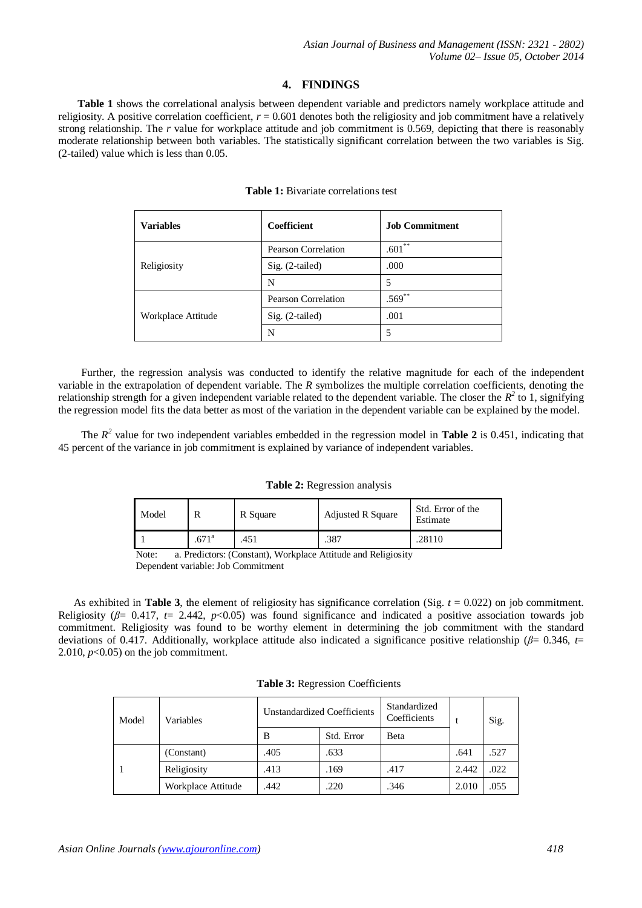# **4. FINDINGS**

**Table 1** shows the correlational analysis between dependent variable and predictors namely workplace attitude and religiosity. A positive correlation coefficient,  $r = 0.601$  denotes both the religiosity and job commitment have a relatively strong relationship. The *r* value for workplace attitude and job commitment is 0.569, depicting that there is reasonably moderate relationship between both variables. The statistically significant correlation between the two variables is Sig. (2-tailed) value which is less than 0.05.

#### **Table 1:** Bivariate correlations test

| <b>Variables</b>   | Coefficient                | <b>Job Commitment</b> |  |
|--------------------|----------------------------|-----------------------|--|
|                    | <b>Pearson Correlation</b> | $.601**$              |  |
| Religiosity        | $Sig. (2-tailed)$          | .000                  |  |
|                    | N                          | 5                     |  |
| Workplace Attitude | <b>Pearson Correlation</b> | $.569***$             |  |
|                    | $Sig. (2-tailed)$          | .001                  |  |
|                    | N                          | 5                     |  |

Further, the regression analysis was conducted to identify the relative magnitude for each of the independent variable in the extrapolation of dependent variable. The *R* symbolizes the multiple correlation coefficients, denoting the relationship strength for a given independent variable related to the dependent variable. The closer the  $R^2$  to 1, signifying the regression model fits the data better as most of the variation in the dependent variable can be explained by the model.

The  $R^2$  value for two independent variables embedded in the regression model in **Table 2** is 0.451, indicating that 45 percent of the variance in job commitment is explained by variance of independent variables.

#### **Table 2:** Regression analysis

| Model |                | R Square | <b>Adjusted R Square</b> | Std. Error of the<br>Estimate |
|-------|----------------|----------|--------------------------|-------------------------------|
|       | $.671^{\circ}$ | .451     | .387                     | .28110                        |

Note: a. Predictors: (Constant), Workplace Attitude and Religiosity Dependent variable: Job Commitment

As exhibited in **Table 3**, the element of religiosity has significance correlation (Sig.  $t = 0.022$ ) on job commitment. Religiosity ( $\beta$ = 0.417,  $t$ = 2.442,  $p$ <0.05) was found significance and indicated a positive association towards job commitment. Religiosity was found to be worthy element in determining the job commitment with the standard deviations of 0.417. Additionally, workplace attitude also indicated a significance positive relationship (*β*= 0.346, *t*= 2.010,  $p<0.05$ ) on the job commitment.

|  |  |  | Table 3: Regression Coefficients |
|--|--|--|----------------------------------|
|--|--|--|----------------------------------|

| Model | Variables          | <b>Unstandardized Coefficients</b> |            | Standardized<br>Coefficients |       | Sig. |
|-------|--------------------|------------------------------------|------------|------------------------------|-------|------|
|       |                    | B                                  | Std. Error | Beta                         |       |      |
|       | (Constant)         | .405                               | .633       |                              | .641  | .527 |
|       | Religiosity        | .413                               | .169       | .417                         | 2.442 | .022 |
|       | Workplace Attitude | .442                               | .220       | .346                         | 2.010 | .055 |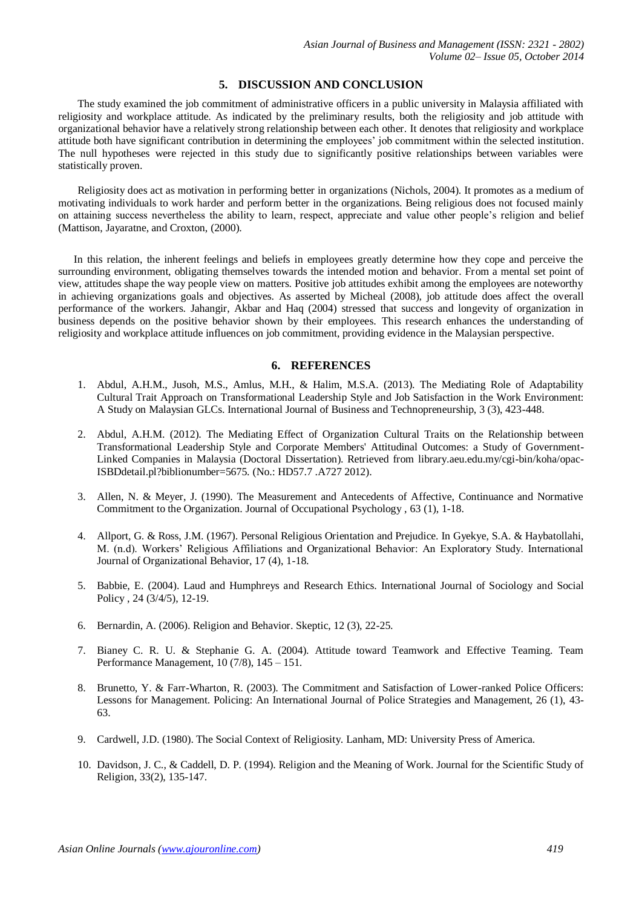# **5. DISCUSSION AND CONCLUSION**

The study examined the job commitment of administrative officers in a public university in Malaysia affiliated with religiosity and workplace attitude. As indicated by the preliminary results, both the religiosity and job attitude with organizational behavior have a relatively strong relationship between each other. It denotes that religiosity and workplace attitude both have significant contribution in determining the employees' job commitment within the selected institution. The null hypotheses were rejected in this study due to significantly positive relationships between variables were statistically proven.

Religiosity does act as motivation in performing better in organizations (Nichols, 2004). It promotes as a medium of motivating individuals to work harder and perform better in the organizations. Being religious does not focused mainly on attaining success nevertheless the ability to learn, respect, appreciate and value other people's religion and belief (Mattison, Jayaratne, and Croxton, (2000).

In this relation, the inherent feelings and beliefs in employees greatly determine how they cope and perceive the surrounding environment, obligating themselves towards the intended motion and behavior. From a mental set point of view, attitudes shape the way people view on matters. Positive job attitudes exhibit among the employees are noteworthy in achieving organizations goals and objectives. As asserted by Micheal (2008), job attitude does affect the overall performance of the workers. Jahangir, Akbar and Haq (2004) stressed that success and longevity of organization in business depends on the positive behavior shown by their employees. This research enhances the understanding of religiosity and workplace attitude influences on job commitment, providing evidence in the Malaysian perspective.

# **6. REFERENCES**

- 1. Abdul, A.H.M., Jusoh, M.S., Amlus, M.H., & Halim, M.S.A. (2013). The Mediating Role of Adaptability Cultural Trait Approach on Transformational Leadership Style and Job Satisfaction in the Work Environment: A Study on Malaysian GLCs. International Journal of Business and Technopreneurship, 3 (3), 423-448.
- 2. Abdul, A.H.M. (2012). The Mediating Effect of Organization Cultural Traits on the Relationship between Transformational Leadership Style and Corporate Members' Attitudinal Outcomes: a Study of Government-Linked Companies in Malaysia (Doctoral Dissertation). Retrieved from library.aeu.edu.my/cgi-bin/koha/opac-ISBDdetail.pl?biblionumber=5675. (No.: HD57.7 .A727 2012).
- 3. Allen, N. & Meyer, J. (1990). The Measurement and Antecedents of Affective, Continuance and Normative Commitment to the Organization. Journal of Occupational Psychology , 63 (1), 1-18.
- 4. Allport, G. & Ross, J.M. (1967). Personal Religious Orientation and Prejudice. In Gyekye, S.A. & Haybatollahi, M. (n.d). Workers' Religious Affiliations and Organizational Behavior: An Exploratory Study. International Journal of Organizational Behavior, 17 (4), 1-18.
- 5. Babbie, E. (2004). Laud and Humphreys and Research Ethics. International Journal of Sociology and Social Policy , 24 (3/4/5), 12-19.
- 6. Bernardin, A. (2006). Religion and Behavior. Skeptic, 12 (3), 22-25.
- 7. Bianey C. R. U. & Stephanie G. A. (2004). Attitude toward Teamwork and Effective Teaming. Team Performance Management, 10 (7/8), 145 – 151.
- 8. Brunetto, Y. & Farr-Wharton, R. (2003). The Commitment and Satisfaction of Lower-ranked Police Officers: Lessons for Management. Policing: An International Journal of Police Strategies and Management, 26 (1), 43- 63.
- 9. Cardwell, J.D. (1980). The Social Context of Religiosity. Lanham, MD: University Press of America.
- 10. Davidson, J. C., & Caddell, D. P. (1994). Religion and the Meaning of Work. Journal for the Scientific Study of Religion, 33(2), 135-147.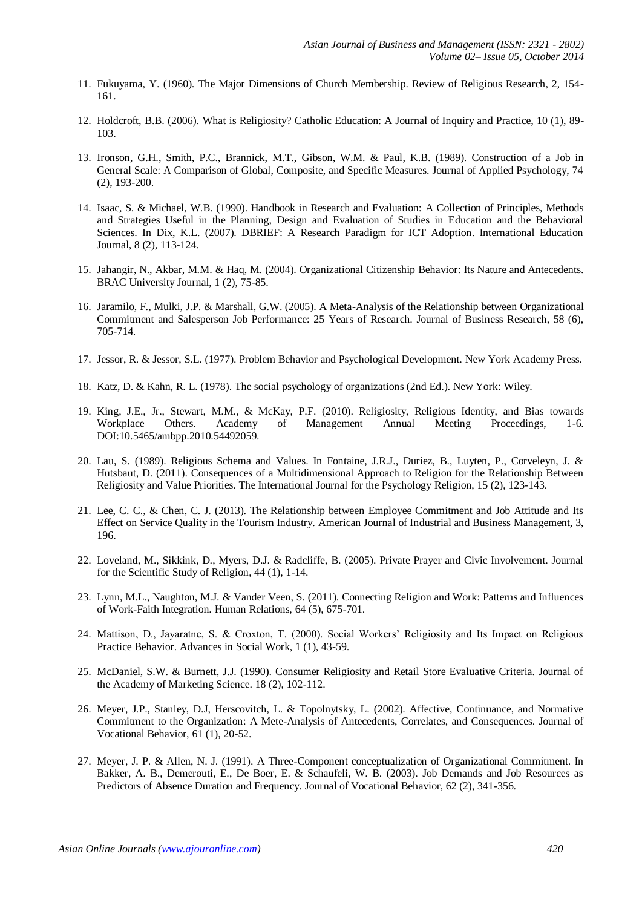- 11. Fukuyama, Y. (1960). The Major Dimensions of Church Membership. Review of Religious Research, 2, 154- 161.
- 12. Holdcroft, B.B. (2006). What is Religiosity? Catholic Education: A Journal of Inquiry and Practice, 10 (1), 89- 103.
- 13. Ironson, G.H., Smith, P.C., Brannick, M.T., Gibson, W.M. & Paul, K.B. (1989). Construction of a Job in General Scale: A Comparison of Global, Composite, and Specific Measures. Journal of Applied Psychology, 74 (2), 193-200.
- 14. Isaac, S. & Michael, W.B. (1990). Handbook in Research and Evaluation: A Collection of Principles, Methods and Strategies Useful in the Planning, Design and Evaluation of Studies in Education and the Behavioral Sciences. In Dix, K.L. (2007). DBRIEF: A Research Paradigm for ICT Adoption. International Education Journal, 8 (2), 113-124.
- 15. Jahangir, N., Akbar, M.M. & Haq, M. (2004). Organizational Citizenship Behavior: Its Nature and Antecedents. BRAC University Journal, 1 (2), 75-85.
- 16. Jaramilo, F., Mulki, J.P. & Marshall, G.W. (2005). A Meta-Analysis of the Relationship between Organizational Commitment and Salesperson Job Performance: 25 Years of Research. Journal of Business Research, 58 (6), 705-714.
- 17. Jessor, R. & Jessor, S.L. (1977). Problem Behavior and Psychological Development. New York Academy Press.
- 18. Katz, D. & Kahn, R. L. (1978). The social psychology of organizations (2nd Ed.). New York: Wiley.
- 19. King, J.E., Jr., Stewart, M.M., & McKay, P.F. (2010). Religiosity, Religious Identity, and Bias towards Workplace Others. Academy of Management Annual Meeting Proceedings, 1-6. DOI:10.5465/ambpp.2010.54492059.
- 20. Lau, S. (1989). Religious Schema and Values. In Fontaine, J.R.J., Duriez, B., Luyten, P., Corveleyn, J. & Hutsbaut, D. (2011). Consequences of a Multidimensional Approach to Religion for the Relationship Between Religiosity and Value Priorities. The International Journal for the Psychology Religion, 15 (2), 123-143.
- 21. Lee, C. C., & Chen, C. J. (2013). The Relationship between Employee Commitment and Job Attitude and Its Effect on Service Quality in the Tourism Industry. American Journal of Industrial and Business Management, 3, 196.
- 22. Loveland, M., Sikkink, D., Myers, D.J. & Radcliffe, B. (2005). Private Prayer and Civic Involvement. Journal for the Scientific Study of Religion, 44 (1), 1-14.
- 23. Lynn, M.L., Naughton, M.J. & Vander Veen, S. (2011). Connecting Religion and Work: Patterns and Influences of Work-Faith Integration. Human Relations, 64 (5), 675-701.
- 24. Mattison, D., Jayaratne, S. & Croxton, T. (2000). Social Workers' Religiosity and Its Impact on Religious Practice Behavior. Advances in Social Work, 1 (1), 43-59.
- 25. McDaniel, S.W. & Burnett, J.J. (1990). Consumer Religiosity and Retail Store Evaluative Criteria. Journal of the Academy of Marketing Science. 18 (2), 102-112.
- 26. Meyer, J.P., Stanley, D.J, Herscovitch, L. & Topolnytsky, L. (2002). Affective, Continuance, and Normative Commitment to the Organization: A Mete-Analysis of Antecedents, Correlates, and Consequences. Journal of Vocational Behavior, 61 (1), 20-52.
- 27. Meyer, J. P. & Allen, N. J. (1991). A Three-Component conceptualization of Organizational Commitment. In Bakker, A. B., Demerouti, E., De Boer, E. & Schaufeli, W. B. (2003). Job Demands and Job Resources as Predictors of Absence Duration and Frequency. Journal of Vocational Behavior, 62 (2), 341-356.